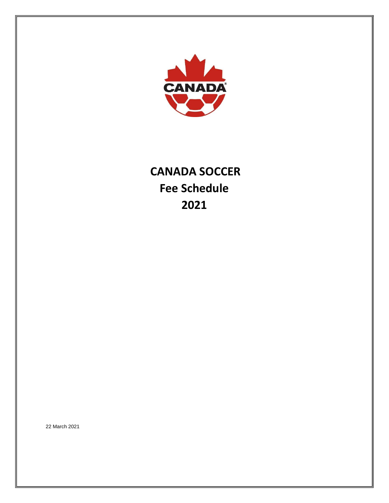

# **CANADA SOCCER Fee Schedule 2021**

22 March 2021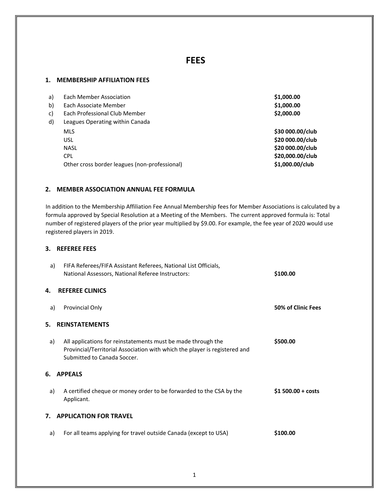# **FEES**

#### **1. MEMBERSHIP AFFILIATION FEES**

| a) | Each Member Association                       | \$1,000.00       |
|----|-----------------------------------------------|------------------|
| b) | Each Associate Member                         | \$1,000.00       |
| c) | Each Professional Club Member                 | \$2,000.00       |
| d) | Leagues Operating within Canada               |                  |
|    | <b>MLS</b>                                    | \$30 000.00/club |
|    | <b>USL</b>                                    | \$20 000.00/club |
|    | <b>NASL</b>                                   | \$20 000.00/club |
|    | <b>CPL</b>                                    | \$20,000.00/club |
|    | Other cross border leagues (non-professional) | \$1,000.00/club  |
|    |                                               |                  |

# **2. MEMBER ASSOCIATION ANNUAL FEE FORMULA**

In addition to the Membership Affiliation Fee Annual Membership fees for Member Associations is calculated by a formula approved by Special Resolution at a Meeting of the Members. The current approved formula is: Total number of registered players of the prior year multiplied by \$9.00. For example, the fee year of 2020 would use registered players in 2019.

#### **3. REFEREE FEES**

| a)                                  | FIFA Referees/FIFA Assistant Referees, National List Officials,<br>National Assessors, National Referee Instructors:                                                      | \$100.00            |  |  |  |
|-------------------------------------|---------------------------------------------------------------------------------------------------------------------------------------------------------------------------|---------------------|--|--|--|
| 4.                                  | <b>REFEREE CLINICS</b>                                                                                                                                                    |                     |  |  |  |
| a)                                  | Provincial Only                                                                                                                                                           | 50% of Clinic Fees  |  |  |  |
| <b>REINSTATEMENTS</b><br>5.         |                                                                                                                                                                           |                     |  |  |  |
| a)                                  | All applications for reinstatements must be made through the<br>Provincial/Territorial Association with which the player is registered and<br>Submitted to Canada Soccer. | \$500.00            |  |  |  |
| 6.                                  | <b>APPEALS</b>                                                                                                                                                            |                     |  |  |  |
| a)                                  | A certified cheque or money order to be forwarded to the CSA by the<br>Applicant.                                                                                         | $$1 500.00 + costs$ |  |  |  |
| <b>APPLICATION FOR TRAVEL</b><br>7. |                                                                                                                                                                           |                     |  |  |  |
| a)                                  | For all teams applying for travel outside Canada (except to USA)                                                                                                          | \$100.00            |  |  |  |